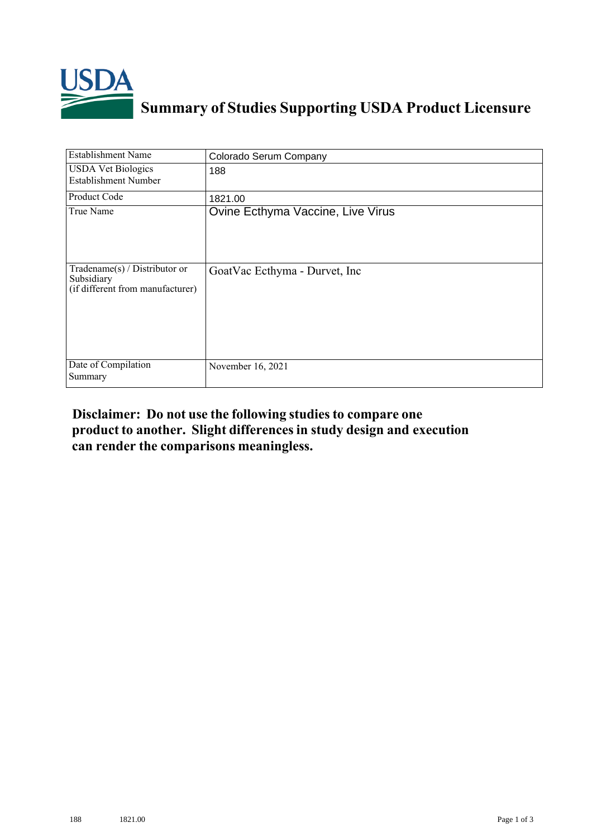

## **Summary of Studies Supporting USDA Product Licensure**

| <b>Establishment Name</b>                                                         | Colorado Serum Company            |
|-----------------------------------------------------------------------------------|-----------------------------------|
| <b>USDA Vet Biologics</b><br><b>Establishment Number</b>                          | 188                               |
| Product Code                                                                      | 1821.00                           |
| True Name                                                                         | Ovine Ecthyma Vaccine, Live Virus |
| $Tradename(s) / Distributor$ or<br>Subsidiary<br>(if different from manufacturer) | GoatVac Ecthyma - Durvet, Inc     |
| Date of Compilation<br>Summary                                                    | November 16, 2021                 |

## **Disclaimer: Do not use the following studiesto compare one product to another. Slight differencesin study design and execution can render the comparisons meaningless.**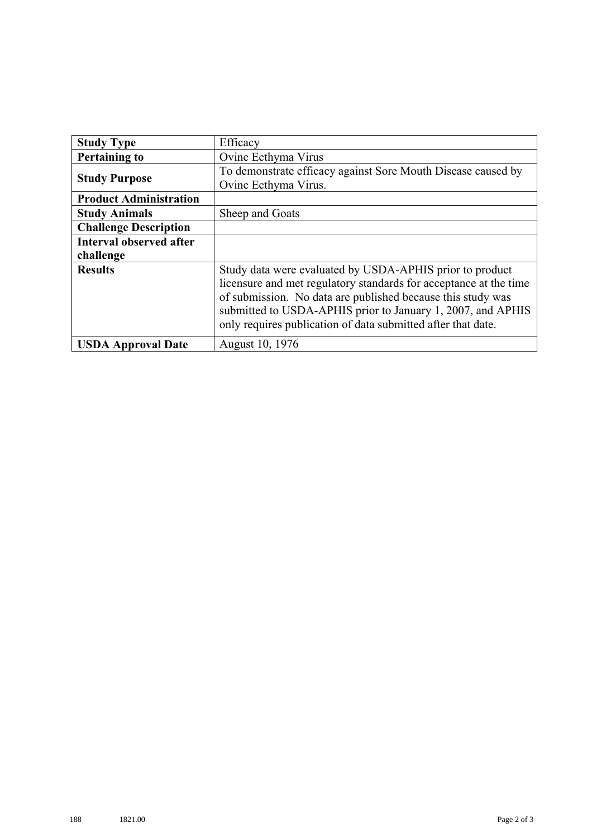| <b>Study Type</b>              | Efficacy                                                          |
|--------------------------------|-------------------------------------------------------------------|
| <b>Pertaining to</b>           | Ovine Ecthyma Virus                                               |
| <b>Study Purpose</b>           | To demonstrate efficacy against Sore Mouth Disease caused by      |
|                                | Ovine Ecthyma Virus.                                              |
| <b>Product Administration</b>  |                                                                   |
| <b>Study Animals</b>           | Sheep and Goats                                                   |
| <b>Challenge Description</b>   |                                                                   |
| <b>Interval observed after</b> |                                                                   |
| challenge                      |                                                                   |
| <b>Results</b>                 | Study data were evaluated by USDA-APHIS prior to product          |
|                                | licensure and met regulatory standards for acceptance at the time |
|                                | of submission. No data are published because this study was       |
|                                | submitted to USDA-APHIS prior to January 1, 2007, and APHIS       |
|                                | only requires publication of data submitted after that date.      |
| <b>USDA Approval Date</b>      | August 10, 1976                                                   |